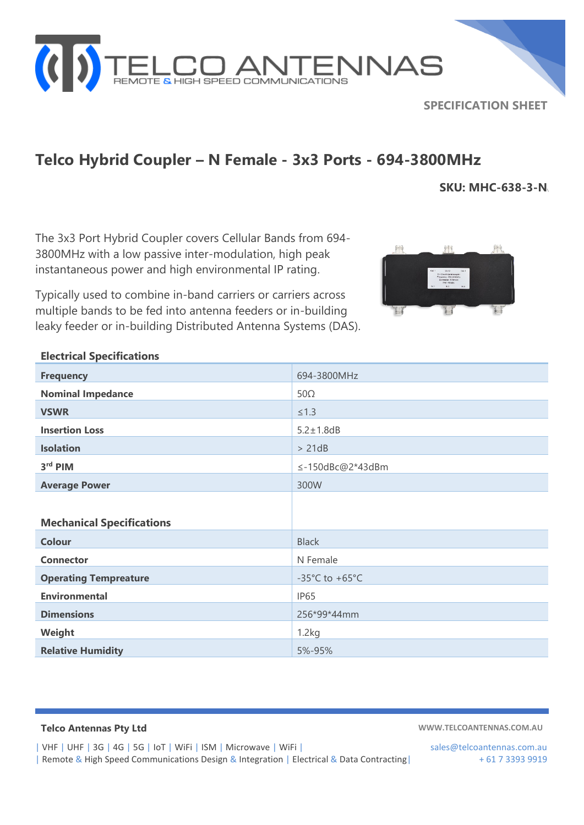

## **SPECIFICATION SHEET**

## **Telco Hybrid Coupler – N Female - 3x3 Ports - 694-3800MHz**

**SKU: MHC-638-3-N**\

The 3x3 Port Hybrid Coupler covers Cellular Bands from 694- 3800MHz with a low passive inter-modulation, high peak instantaneous power and high environmental IP rating.

Typically used to combine in-band carriers or carriers across multiple bands to be fed into antenna feeders or in-building leaky feeder or in-building Distributed Antenna Systems (DAS).



## **Electrical Specifications**

| <b>Frequency</b>                 | 694-3800MHz                          |
|----------------------------------|--------------------------------------|
| <b>Nominal Impedance</b>         | $50\Omega$                           |
| <b>VSWR</b>                      | $\leq 1.3$                           |
| <b>Insertion Loss</b>            | $5.2 \pm 1.8$ dB                     |
| <b>Isolation</b>                 | > 21dB                               |
| 3rd PIM                          | ≤-150dBc@2*43dBm                     |
| <b>Average Power</b>             | 300W                                 |
|                                  |                                      |
| <b>Mechanical Specifications</b> |                                      |
| <b>Colour</b>                    | <b>Black</b>                         |
| <b>Connector</b>                 | N Female                             |
| <b>Operating Tempreature</b>     | -35 $^{\circ}$ C to +65 $^{\circ}$ C |
| <b>Environmental</b>             | IP65                                 |
| <b>Dimensions</b>                | 256*99*44mm                          |
| Weight                           | 1.2kg                                |
| <b>Relative Humidity</b>         | 5%-95%                               |

**Telco Antennas Pty Ltd WWW.TELCOANTENNAS.COM.AU**

| VHF | UHF | 3G | 4G | 5G | IoT | WiFi | ISM | Microwave | WiFi | sales@telcoantennas.com.au | Remote & High Speed Communications Design & Integration | Electrical & Data Contracting | + 61 7 3393 9919